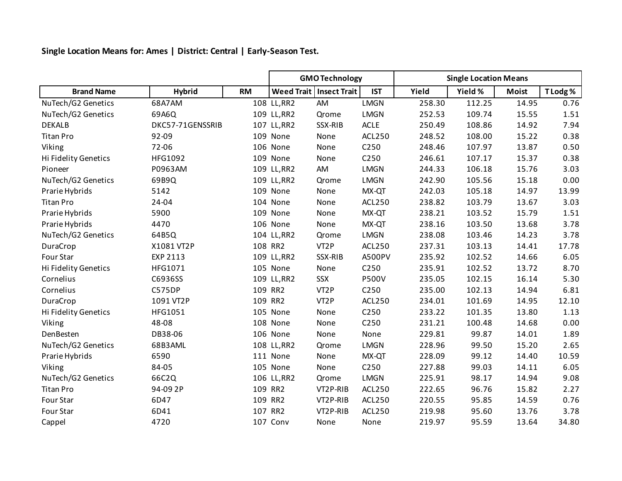**Single Location Means for: Ames | District: Central | Early-Season Test.**

|                      |                  |           | <b>GMO Technology</b> |                           |                  | <b>Single Location Means</b> |         |              |          |
|----------------------|------------------|-----------|-----------------------|---------------------------|------------------|------------------------------|---------|--------------|----------|
| <b>Brand Name</b>    | <b>Hybrid</b>    | <b>RM</b> |                       | Weed Trait   Insect Trait | <b>IST</b>       | Yield                        | Yield % | <b>Moist</b> | T Lodg % |
| NuTech/G2 Genetics   | 68A7AM           |           | 108 LL, RR2           | AM                        | <b>LMGN</b>      | 258.30                       | 112.25  | 14.95        | 0.76     |
| NuTech/G2 Genetics   | 69A6Q            |           | 109 LL, RR2           | Qrome                     | <b>LMGN</b>      | 252.53                       | 109.74  | 15.55        | 1.51     |
| <b>DEKALB</b>        | DKC57-71GENSSRIB |           | 107 LL, RR2           | SSX-RIB                   | <b>ACLE</b>      | 250.49                       | 108.86  | 14.92        | 7.94     |
| <b>Titan Pro</b>     | 92-09            |           | 109 None              | None                      | <b>ACL250</b>    | 248.52                       | 108.00  | 15.22        | 0.38     |
| Viking               | 72-06            |           | 106 None              | None                      | C250             | 248.46                       | 107.97  | 13.87        | 0.50     |
| Hi Fidelity Genetics | HFG1092          |           | 109 None              | None                      | C250             | 246.61                       | 107.17  | 15.37        | 0.38     |
| Pioneer              | P0963AM          |           | 109 LL, RR2           | AM                        | <b>LMGN</b>      | 244.33                       | 106.18  | 15.76        | 3.03     |
| NuTech/G2 Genetics   | 69B9Q            |           | 109 LL, RR2           | Qrome                     | <b>LMGN</b>      | 242.90                       | 105.56  | 15.18        | 0.00     |
| Prarie Hybrids       | 5142             |           | 109 None              | None                      | MX-QT            | 242.03                       | 105.18  | 14.97        | 13.99    |
| <b>Titan Pro</b>     | 24-04            |           | 104 None              | None                      | <b>ACL250</b>    | 238.82                       | 103.79  | 13.67        | 3.03     |
| Prarie Hybrids       | 5900             |           | 109 None              | None                      | MX-QT            | 238.21                       | 103.52  | 15.79        | 1.51     |
| Prarie Hybrids       | 4470             |           | 106 None              | None                      | MX-QT            | 238.16                       | 103.50  | 13.68        | 3.78     |
| NuTech/G2 Genetics   | 64B5Q            |           | 104 LL, RR2           | Qrome                     | <b>LMGN</b>      | 238.08                       | 103.46  | 14.23        | 3.78     |
| DuraCrop             | X1081 VT2P       |           | 108 RR2               | VT <sub>2</sub> P         | <b>ACL250</b>    | 237.31                       | 103.13  | 14.41        | 17.78    |
| Four Star            | EXP 2113         |           | 109 LL, RR2           | SSX-RIB                   | A500PV           | 235.92                       | 102.52  | 14.66        | 6.05     |
| Hi Fidelity Genetics | HFG1071          |           | 105 None              | None                      | C250             | 235.91                       | 102.52  | 13.72        | 8.70     |
| Cornelius            | C6936SS          |           | 109 LL, RR2           | SSX                       | <b>P500V</b>     | 235.05                       | 102.15  | 16.14        | 5.30     |
| Cornelius            | <b>C575DP</b>    |           | 109 RR2               | VT <sub>2</sub> P         | C250             | 235.00                       | 102.13  | 14.94        | 6.81     |
| DuraCrop             | 1091 VT2P        |           | 109 RR2               | VT <sub>2</sub> P         | <b>ACL250</b>    | 234.01                       | 101.69  | 14.95        | 12.10    |
| Hi Fidelity Genetics | HFG1051          |           | 105 None              | None                      | C250             | 233.22                       | 101.35  | 13.80        | 1.13     |
| Viking               | 48-08            |           | 108 None              | None                      | C250             | 231.21                       | 100.48  | 14.68        | 0.00     |
| DenBesten            | DB38-06          |           | 106 None              | None                      | None             | 229.81                       | 99.87   | 14.01        | 1.89     |
| NuTech/G2 Genetics   | 68B3AML          |           | 108 LL, RR2           | Qrome                     | <b>LMGN</b>      | 228.96                       | 99.50   | 15.20        | 2.65     |
| Prarie Hybrids       | 6590             |           | 111 None              | None                      | MX-QT            | 228.09                       | 99.12   | 14.40        | 10.59    |
| Viking               | 84-05            |           | 105 None              | None                      | C <sub>250</sub> | 227.88                       | 99.03   | 14.11        | 6.05     |
| NuTech/G2 Genetics   | 66C2Q            |           | 106 LL, RR2           | Qrome                     | <b>LMGN</b>      | 225.91                       | 98.17   | 14.94        | 9.08     |
| <b>Titan Pro</b>     | 94-09 2P         |           | 109 RR2               | VT2P-RIB                  | <b>ACL250</b>    | 222.65                       | 96.76   | 15.82        | 2.27     |
| Four Star            | 6D47             |           | 109 RR2               | VT2P-RIB                  | <b>ACL250</b>    | 220.55                       | 95.85   | 14.59        | 0.76     |
| Four Star            | 6D41             |           | 107 RR2               | VT2P-RIB                  | <b>ACL250</b>    | 219.98                       | 95.60   | 13.76        | 3.78     |
| Cappel               | 4720             |           | 107 Conv              | None                      | None             | 219.97                       | 95.59   | 13.64        | 34.80    |